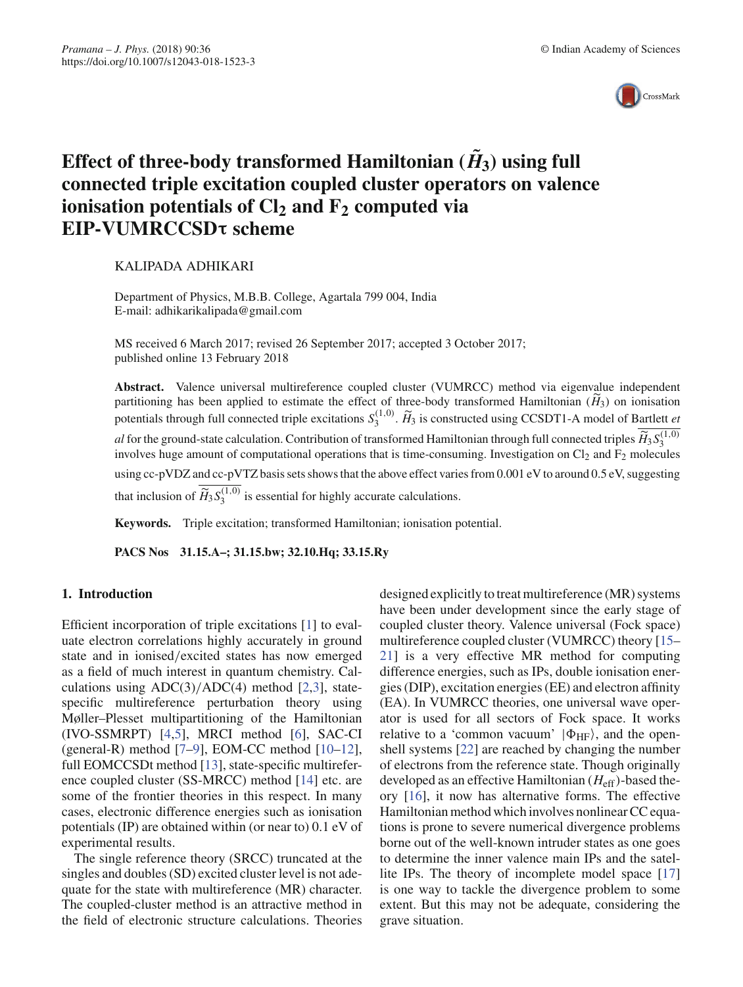

# Effect of three-body transformed Hamiltonian  $(\tilde{H}_3)$  using full **connected triple excitation coupled cluster operators on valence ionisation potentials of**  $Cl<sub>2</sub>$  **and**  $F<sub>2</sub>$  **computed via EIP-VUMRCCSDτ scheme**

KALIPADA ADHIKARI

Department of Physics, M.B.B. College, Agartala 799 004, India E-mail: adhikarikalipada@gmail.com

MS received 6 March 2017; revised 26 September 2017; accepted 3 October 2017; published online 13 February 2018

**Abstract.** Valence universal multireference coupled cluster (VUMRCC) method via eigenvalue independent partitioning has been applied to estimate the effect of three-body transformed Hamiltonian  $(H_3)$  on ionisation potentials through full connected triple excitations  $S_3^{(1,0)}$ .  $\widetilde{H}_3$  is constructed using CCSDT1-A model of Bartlett *et al* for the ground-state calculation. Contribution of transformed Hamiltonian through full connected triples  $\widetilde{H}_3 S_3^{(1,0)}$ involves huge amount of computational operations that is time-consuming. Investigation on  $Cl_2$  and  $F_2$  molecules using cc-pVDZ and cc-pVTZ basis sets shows that the above effect varies from 0.001 eV to around 0.5 eV, suggesting that inclusion of  $\widetilde{H}_3 S_3^{(1,0)}$  is essential for highly accurate calculations.

**Keywords.** Triple excitation; transformed Hamiltonian; ionisation potential.

**PACS Nos 31.15.A–; 31.15.bw; 32.10.Hq; 33.15.Ry**

## **1. Introduction**

Efficient incorporation of triple excitations [1] to evaluate electron correlations highly accurately in ground state and in ionised/excited states has now emerged as a field of much interest in quantum chemistry. Calculations using  $ADC(3)/ADC(4)$  method [2,3], statespecific multireference perturbation theory using Møller–Plesset multipartitioning of the Hamiltonian (IVO-SSMRPT) [4,5], MRCI method [6], SAC-CI (general-R) method [7–9], EOM-CC method [10–12], full EOMCCSDt method [13], state-specific multireference coupled cluster (SS-MRCC) method [14] etc. are some of the frontier theories in this respect. In many cases, electronic difference energies such as ionisation potentials (IP) are obtained within (or near to) 0.1 eV of experimental results.

The single reference theory (SRCC) truncated at the singles and doubles (SD) excited cluster level is not adequate for the state with multireference (MR) character. The coupled-cluster method is an attractive method in the field of electronic structure calculations. Theories designed explicitly to treat multireference (MR) systems have been under development since the early stage of coupled cluster theory. Valence universal (Fock space) multireference coupled cluster (VUMRCC) theory [15– 21] is a very effective MR method for computing difference energies, such as IPs, double ionisation energies (DIP), excitation energies (EE) and electron affinity (EA). In VUMRCC theories, one universal wave operator is used for all sectors of Fock space. It works relative to a 'common vacuum'  $|\Phi_{HF}\rangle$ , and the openshell systems [22] are reached by changing the number of electrons from the reference state. Though originally developed as an effective Hamiltonian (*H*eff)-based theory [16], it now has alternative forms. The effective Hamiltonian method which involves nonlinear CC equations is prone to severe numerical divergence problems borne out of the well-known intruder states as one goes to determine the inner valence main IPs and the satellite IPs. The theory of incomplete model space [17] is one way to tackle the divergence problem to some extent. But this may not be adequate, considering the grave situation.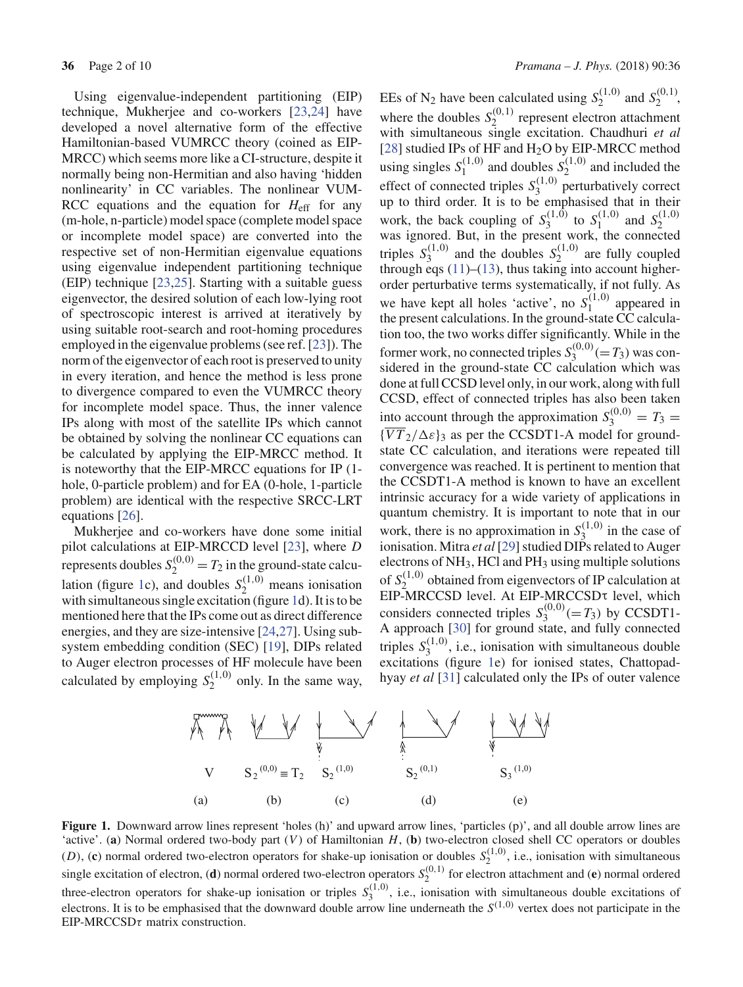Using eigenvalue-independent partitioning (EIP) technique, Mukherjee and co-workers [23,24] have developed a novel alternative form of the effective Hamiltonian-based VUMRCC theory (coined as EIP-MRCC) which seems more like a CI-structure, despite it normally being non-Hermitian and also having 'hidden nonlinearity' in CC variables. The nonlinear VUM-RCC equations and the equation for  $H<sub>eff</sub>$  for any (m-hole, n-particle) model space (complete model space or incomplete model space) are converted into the respective set of non-Hermitian eigenvalue equations using eigenvalue independent partitioning technique (EIP) technique [23,25]. Starting with a suitable guess eigenvector, the desired solution of each low-lying root of spectroscopic interest is arrived at iteratively by using suitable root-search and root-homing procedures employed in the eigenvalue problems (see ref. [23]). The norm of the eigenvector of each root is preserved to unity in every iteration, and hence the method is less prone to divergence compared to even the VUMRCC theory for incomplete model space. Thus, the inner valence IPs along with most of the satellite IPs which cannot be obtained by solving the nonlinear CC equations can be calculated by applying the EIP-MRCC method. It is noteworthy that the EIP-MRCC equations for IP (1 hole, 0-particle problem) and for EA (0-hole, 1-particle problem) are identical with the respective SRCC-LRT equations [26].

Mukherjee and co-workers have done some initial pilot calculations at EIP-MRCCD level [23], where *D* represents doubles  $S_2^{(0,0)} = T_2$  in the ground-state calculation (figure 1c), and doubles  $S_2^{(1,0)}$  means ionisation with simultaneous single excitation (figure 1d). It is to be mentioned here that the IPs come out as direct difference energies, and they are size-intensive [24,27]. Using subsystem embedding condition (SEC) [19], DIPs related to Auger electron processes of HF molecule have been calculated by employing  $S_2^{(1,0)}$  only. In the same way,

EEs of N<sub>2</sub> have been calculated using  $S_2^{(1,0)}$  and  $S_2^{(0,1)}$ , where the doubles  $S_2^{(0,1)}$  represent electron attachment with simultaneous single excitation. Chaudhuri *et al* [28] studied IPs of HF and H2O by EIP-MRCC method using singles  $S_1^{(1,0)}$  and doubles  $S_2^{(1,0)}$  and included the effect of connected triples  $S_3^{(1,0)}$  perturbatively correct up to third order. It is to be emphasised that in their work, the back coupling of  $S_3^{(1,0)}$  to  $S_1^{(1,0)}$  and  $S_2^{(1,0)}$  was ignored. But, in the present work, the connected triples  $S_3^{(1,0)}$  and the doubles  $S_2^{(1,0)}$  are fully coupled through eqs  $(11)$ – $(13)$ , thus taking into account higherorder perturbative terms systematically, if not fully. As we have kept all holes 'active', no  $S_1^{(1,0)}$  appeared in the present calculations. In the ground-state CC calculation too, the two works differ significantly. While in the former work, no connected triples  $S_3^{(0,0)}(=T_3)$  was considered in the ground-state CC calculation which was done at full CCSD level only, in our work, along with full CCSD, effect of connected triples has also been taken into account through the approximation  $S_3^{(0,0)} = T_3 =$  ${\sqrt{VT_2}}/\Delta\varepsilon$ <sub>3</sub> as per the CCSDT1-A model for groundstate CC calculation, and iterations were repeated till convergence was reached. It is pertinent to mention that the CCSDT1-A method is known to have an excellent intrinsic accuracy for a wide variety of applications in quantum chemistry. It is important to note that in our work, there is no approximation in  $S_3^{(1,0)}$  in the case of ionisation. Mitra *et al* [29] studied DIPs related to Auger electrons of NH<sub>3</sub>, HCl and PH<sub>3</sub> using multiple solutions of  $S_2^{(1,0)}$  obtained from eigenvectors of IP calculation at EIP-MRCCSD level. At EIP-MRCCSDτ level, which considers connected triples  $S_3^{(0,0)}(=T_3)$  by CCSDT1-A approach [30] for ground state, and fully connected triples  $S_3^{(1,0)}$ , i.e., ionisation with simultaneous double excitations (figure 1e) for ionised states, Chattopadhyay *et al* [31] calculated only the IPs of outer valence



**Figure 1.** Downward arrow lines represent 'holes (h)' and upward arrow lines, 'particles (p)', and all double arrow lines are 'active'. (**a**) Normal ordered two-body part (*V*) of Hamiltonian *H*, (**b**) two-electron closed shell CC operators or doubles (*D*), (**c**) normal ordered two-electron operators for shake-up ionisation or doubles  $S_2^{(1,0)}$ , i.e., ionisation with simultaneous single excitation of electron, (**d**) normal ordered two-electron operators  $S_2^{(0,1)}$  for electron attachment and (**e**) normal ordered three-electron operators for shake-up ionisation or triples  $S_3^{(1,0)}$ , i.e., ionisation with simultaneous double excitations of electrons. It is to be emphasised that the downward double arrow line underneath the  $S^{(1,0)}$  vertex does not participate in the EIP-MRCCSD $\tau$  matrix construction.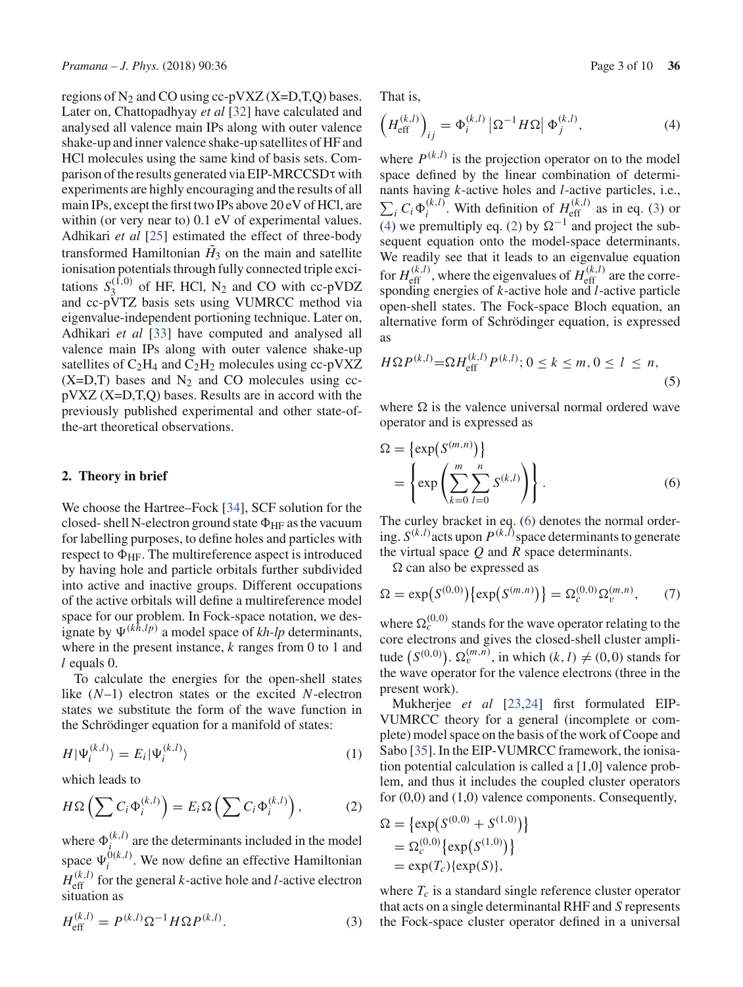regions of  $N_2$  and CO using cc-pVXZ (X=D,T,Q) bases. Later on, Chattopadhyay *et al* [32] have calculated and analysed all valence main IPs along with outer valence shake-up and inner valence shake-up satellites of HF and HCl molecules using the same kind of basis sets. Comparison of the results generated via EIP-MRCCSD $\tau$  with experiments are highly encouraging and the results of all main IPs, except the first two IPs above 20 eV of HCl, are within (or very near to) 0.1 eV of experimental values. Adhikari *et al* [25] estimated the effect of three-body transformed Hamiltonian  $\tilde{H}_3$  on the main and satellite ionisation potentials through fully connected triple excitations  $S_3^{(1,0)}$  of HF, HCl, N<sub>2</sub> and CO with cc-pVDZ and cc-pVTZ basis sets using VUMRCC method via eigenvalue-independent portioning technique. Later on, Adhikari *et al* [33] have computed and analysed all valence main IPs along with outer valence shake-up satellites of  $C_2H_4$  and  $C_2H_2$  molecules using cc-pVXZ  $(X=D,T)$  bases and  $N_2$  and CO molecules using ccpVXZ (X=D,T,Q) bases. Results are in accord with the previously published experimental and other state-ofthe-art theoretical observations.

#### **2. Theory in brief**

We choose the Hartree–Fock [34], SCF solution for the closed- shell N-electron ground state  $\Phi_{\rm HF}$  as the vacuum for labelling purposes, to define holes and particles with respect to  $\Phi$ <sub>HF</sub>. The multireference aspect is introduced by having hole and particle orbitals further subdivided into active and inactive groups. Different occupations of the active orbitals will define a multireference model space for our problem. In Fock-space notation, we designate by  $\Psi^{(k\hbar,lp)}$  a model space of  $kh$ -lp determinants, where in the present instance, *k* ranges from 0 to 1 and *l* equals 0.

To calculate the energies for the open-shell states like (*N*–1) electron states or the excited *N*-electron states we substitute the form of the wave function in the Schrödinger equation for a manifold of states:

$$
H|\Psi_i^{(k,l)}\rangle = E_i|\Psi_i^{(k,l)}\rangle \tag{1}
$$

which leads to

$$
H\Omega\left(\sum C_i \Phi_i^{(k,l)}\right) = E_i \Omega\left(\sum C_i \Phi_i^{(k,l)}\right),\tag{2}
$$

where  $\Phi_i^{(k,l)}$  are the determinants included in the model space  $\Psi_i^{0(k,l)}$ . We now define an effective Hamiltonian  $H_{\text{eff}}^{(k,l)}$  for the general *k*-active hole and *l*-active electron situation as

$$
H_{\text{eff}}^{(k,l)} = P^{(k,l)} \Omega^{-1} H \Omega P^{(k,l)}.
$$
 (3)

That is,

$$
\left(H_{\text{eff}}^{(k,l)}\right)_{ij} = \Phi_i^{(k,l)} \left|\Omega^{-1} H \Omega\right| \Phi_j^{(k,l)},\tag{4}
$$

where  $P^{(k,l)}$  is the projection operator on to the model space defined by the linear combination of determinants having *k*-active holes and *l*-active particles, i.e.,  $\sum_i C_i \Phi_i^{(k,l)}$ . With definition of  $H_{\text{eff}}^{(k,l)}$  as in eq. (3) or (4) we premultiply eq. (2) by  $\Omega^{-1}$  and project the subsequent equation onto the model-space determinants. We readily see that it leads to an eigenvalue equation for  $H_{\text{eff}}^{(k,l)}$ , where the eigenvalues of  $H_{\text{eff}}^{(k,l)}$  are the corresponding energies of *k*-active hole and *l*-active particle open-shell states. The Fock-space Bloch equation, an alternative form of Schrödinger equation, is expressed as

$$
H\Omega P^{(k,l)} = \Omega H_{\text{eff}}^{(k,l)} P^{(k,l)}; 0 \le k \le m, 0 \le l \le n,
$$
\n(5)

where  $\Omega$  is the valence universal normal ordered wave operator and is expressed as

$$
\Omega = \left\{ \exp\left(S^{(m,n)}\right) \right\}
$$

$$
= \left\{ \exp\left(\sum_{k=0}^{m} \sum_{l=0}^{n} S^{(k,l)}\right) \right\}.
$$
 (6)

The curley bracket in eq. (6) denotes the normal ordering.  $S^{(k,l)}$  acts upon  $P^{(k,l)}$  space determinants to generate the virtual space *Q* and *R* space determinants.

 $\Omega$  can also be expressed as

$$
\Omega = \exp(S^{(0,0)}) \{ \exp(S^{(m,n)}) \} = \Omega_c^{(0,0)} \Omega_v^{(m,n)}, \tag{7}
$$

where  $\Omega_c^{(0,0)}$  stands for the wave operator relating to the core electrons and gives the closed-shell cluster amplitude  $(S^{(0,0)})$ .  $\Omega_v^{(m,n)}$ , in which  $(k, l) \neq (0, 0)$  stands for the wave operator for the valence electrons (three in the present work).

Mukherjee *et al* [23,24] first formulated EIP-VUMRCC theory for a general (incomplete or complete) model space on the basis of the work of Coope and Sabo [35]. In the EIP-VUMRCC framework, the ionisation potential calculation is called a [1,0] valence problem, and thus it includes the coupled cluster operators for (0,0) and (1,0) valence components. Consequently,

$$
\Omega = \left\{ \exp(S^{(0,0)} + S^{(1,0)}) \right\}
$$
  
=  $\Omega_c^{(0,0)} \left\{ \exp(S^{(1,0)}) \right\}$   
=  $\exp(T_c) \left\{ \exp(S) \right\},$ 

where  $T_c$  is a standard single reference cluster operator that acts on a single determinantal RHF and *S* represents the Fock-space cluster operator defined in a universal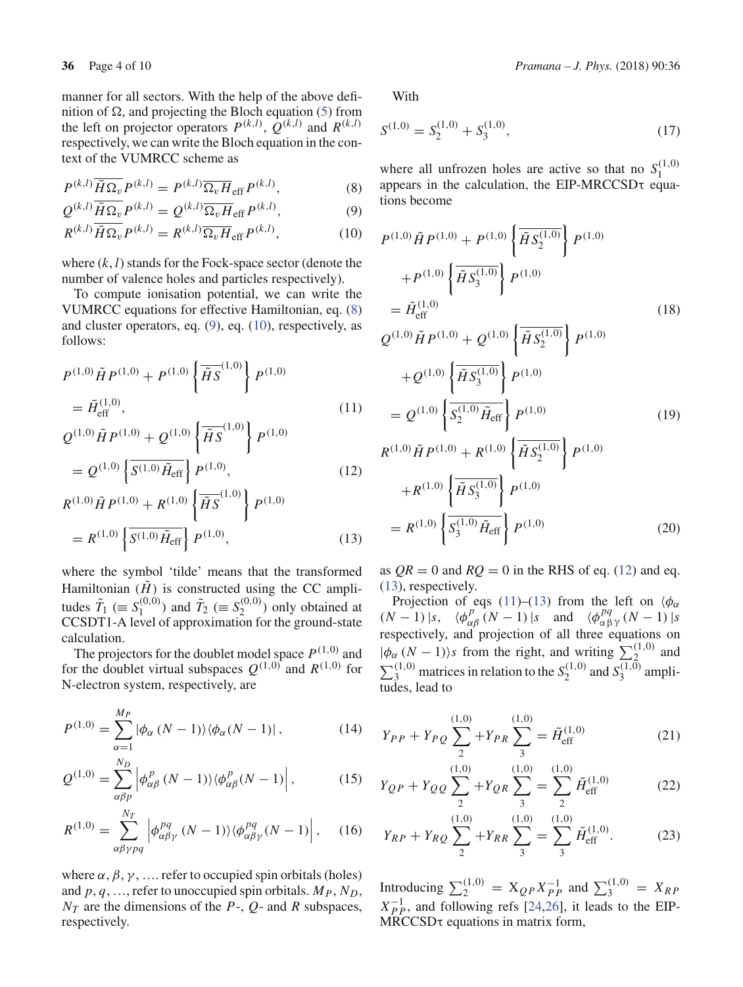manner for all sectors. With the help of the above definition of  $\Omega$ , and projecting the Bloch equation (5) from the left on projector operators  $P^{(k,l)}$ ,  $Q^{(k,l)}$  and  $R^{(k,l)}$ respectively, we can write the Bloch equation in the context of the VUMRCC scheme as

$$
P^{(k,l)}\overline{H}\Omega_v P^{(k,l)} = P^{(k,l)}\overline{\Omega_v H}_{\text{eff}} P^{(k,l)},\tag{8}
$$

$$
Q^{(k,l)}\overline{H}\Omega_v P^{(k,l)} = Q^{(k,l)}\overline{\Omega_v H}_{\text{eff}} P^{(k,l)},\tag{9}
$$

$$
R^{(k,l)}\overline{\dot{H}\Omega_v}P^{(k,l)} = R^{(k,l)}\overline{\Omega_vH}_{\text{eff}}P^{(k,l)},\tag{10}
$$

where (*k*, *l*) stands for the Fock-space sector (denote the number of valence holes and particles respectively).

To compute ionisation potential, we can write the VUMRCC equations for effective Hamiltonian, eq. (8) and cluster operators, eq.  $(9)$ , eq.  $(10)$ , respectively, as follows:

$$
P^{(1,0)}\tilde{H}P^{(1,0)} + P^{(1,0)}\left\{\tilde{\overline{H}S}^{(1,0)}\right\}P^{(1,0)}
$$
  
=  $\tilde{H}_{\text{eff}}^{(1,0)}$ , (11)

$$
Q^{(1,0)}\tilde{H}P^{(1,0)} + Q^{(1,0)}\left\{\overline{\tilde{H}S}^{(1,0)}\right\}P^{(1,0)}
$$
  
=  $Q^{(1,0)}\left\{\overline{S^{(1,0)}\tilde{H}_{\text{eff}}}\right\}P^{(1,0)},$  (12)

$$
R^{(1,0)}\tilde{H}P^{(1,0)} + R^{(1,0)}\left\{\overline{\tilde{H}S}^{(1,0)}\right\}P^{(1,0)}
$$
  
=  $R^{(1,0)}\left\{\overline{S^{(1,0)}\tilde{H}_{\text{eff}}}\right\}P^{(1,0)},$  (13)

where the symbol 'tilde' means that the transformed Hamiltonian  $(\tilde{H})$  is constructed using the CC amplitudes  $\tilde{T}_1$  ( $\equiv S_1^{(0,0)}$ ) and  $\tilde{T}_2$  ( $\equiv S_2^{(0,0)}$ ) only obtained at CCSDT1-A level of approximation for the ground-state calculation.

The projectors for the doublet model space  $P^{(1,0)}$  and for the doublet virtual subspaces  $Q^{(1,0)}$  and  $R^{(1,0)}$  for N-electron system, respectively, are

$$
P^{(1,0)} = \sum_{\alpha=1}^{M_P} |\phi_{\alpha} (N-1)\rangle \langle \phi_{\alpha} (N-1)| \,, \tag{14}
$$

$$
Q^{(1,0)} = \sum_{\alpha\beta p}^{N_D} \left| \phi_{\alpha\beta}^p (N-1) \rangle \langle \phi_{\alpha\beta}^p (N-1) \right|, \tag{15}
$$

$$
R^{(1,0)} = \sum_{\alpha\beta\gamma\rho q}^{N_T} \left| \phi_{\alpha\beta\gamma}^{pq} \left( N - 1 \right) \rangle \langle \phi_{\alpha\beta\gamma}^{pq} \left( N - 1 \right) \right|, \quad (16)
$$

where  $\alpha$ ,  $\beta$ ,  $\gamma$ , .... refer to occupied spin orbitals (holes) and *p*, *q*, …, refer to unoccupied spin orbitals. *MP*, *ND*, *NT* are the dimensions of the *P*-, *Q*- and *R* subspaces, respectively.

With

$$
S^{(1,0)} = S_2^{(1,0)} + S_3^{(1,0)},
$$
\n(17)

where all unfrozen holes are active so that no  $S_1^{(1,0)}$ appears in the calculation, the EIP-MRCCSD $\tau$  equations become

$$
P^{(1,0)}\tilde{H}P^{(1,0)} + P^{(1,0)}\left\{\overline{\tilde{H}S_2^{(1,0)}}\right\}P^{(1,0)} + P^{(1,0)}\left\{\overline{\tilde{H}S_3^{(1,0)}}\right\}P^{(1,0)}
$$

$$
= \tilde{H}_{\text{eff}}^{(1,0)} \tag{18}
$$

$$
Q^{(1,0)} \tilde{H} P^{(1,0)} + Q^{(1,0)} \left\{ \overline{\tilde{H} S_2^{(1,0)}} \right\} P^{(1,0)} + Q^{(1,0)} \left\{ \overline{\tilde{H} S_3^{(1,0)}} \right\} P^{(1,0)} \\
= Q^{(1,0)} \left\{ \overline{S_2^{(1,0)} \tilde{H}_{\text{eff}}} \right\} P^{(1,0)} \qquad (19)
$$

$$
R^{(1,0)}\tilde{H}P^{(1,0)} + R^{(1,0)}\left\{\tilde{H}S_2^{(1,0)}\right\}P^{(1,0)} + R^{(1,0)}\left\{\tilde{H}S_3^{(1,0)}\right\}P^{(1,0)} = R^{(1,0)}\left\{S_3^{(1,0)}\tilde{H}_{\text{eff}}\right\}P^{(1,0)} \tag{20}
$$

as  $QR = 0$  and  $RQ = 0$  in the RHS of eq. (12) and eq. (13), respectively.

Projection of eqs (11)–(13) from the left on  $\langle \phi_{\alpha} \rangle$  $(N-1)|s, \sqrt{\phi_{\alpha\beta}^p(N-1)}|s \text{ and } \sqrt{\phi_{\alpha\beta}^{pq}(N-1)}|s$ respectively, and projection of all three equations on  $|\phi_{\alpha}(N-1)\rangle$ *s* from the right, and writing  $\sum_{k=0}^{(1,0)}$  and  $\sum_3^{(1,0)}$  matrices in relation to the  $S_2^{(1,0)}$  and  $S_3^{(1,0)}$  amplitudes, lead to

$$
Y_{PP} + Y_{PQ} \sum_{2}^{(1,0)} + Y_{PR} \sum_{3}^{(1,0)} = \tilde{H}_{\text{eff}}^{(1,0)}
$$
(21)

$$
Y_{QP} + Y_{QQ} \sum_{2}^{(1,0)} + Y_{QR} \sum_{3}^{(1,0)} = \sum_{2}^{(1,0)} \tilde{H}_{\text{eff}}^{(1,0)} \tag{22}
$$

$$
Y_{RP} + Y_{RQ} \sum_{2}^{(1,0)} + Y_{RR} \sum_{3}^{(1,0)} = \sum_{3}^{(1,0)} \tilde{H}_{\text{eff}}^{(1,0)}.
$$
 (23)

Introducing  $\sum_{2}^{(1,0)} = X_{QP} X_{PP}^{-1}$  and  $\sum_{3}^{(1,0)} = X_{RP}$  $X_{PP}^{-1}$ , and following refs [24,26], it leads to the EIP-MRCCSDτ equations in matrix form,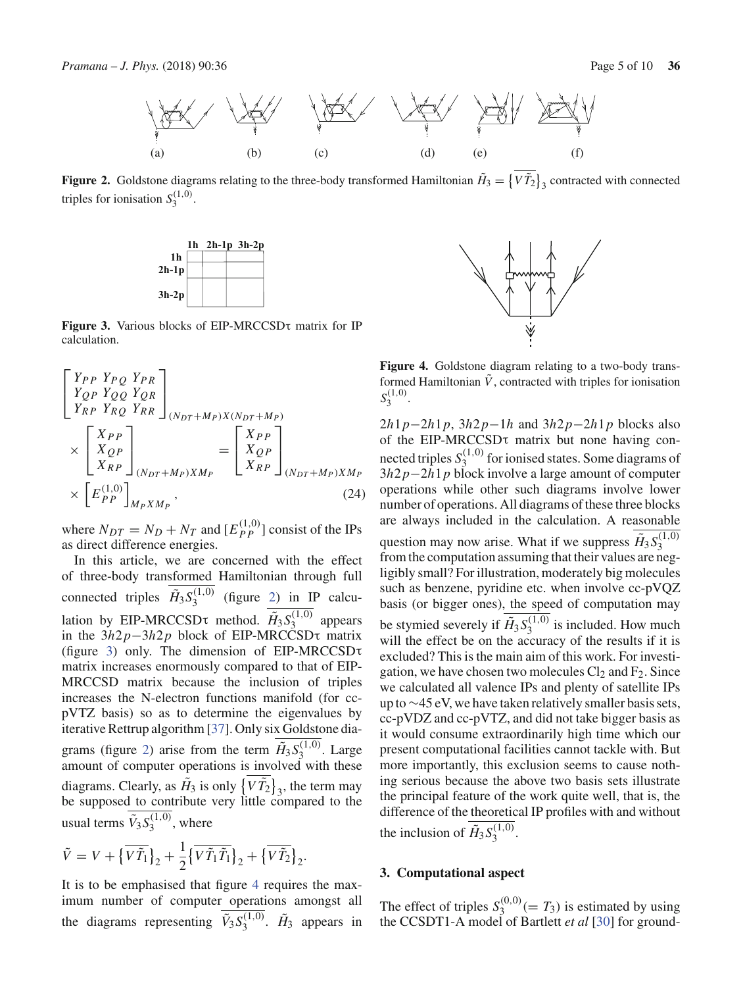

**Figure 2.** Goldstone diagrams relating to the three-body transformed Hamiltonian  $\tilde{H}_3 = \left\{V\tilde{T}_2\right\}_3$  contracted with connected triples for ionisation  $S_3^{(1,0)}$ .



**Figure 3.** Various blocks of EIP-MRCCSDτ matrix for IP calculation.

$$
\begin{bmatrix}\nY_{PP} Y_{PQ} Y_{PR} \\
Y_{QP} Y_{QQ} Y_{QR} \\
Y_{RP} Y_{RQ} Y_{RR} \\
X_{QP} \\
X_{RP}\n\end{bmatrix}_{(N_{DT}+M_P)X(N_{DT}+M_P)}\n= \begin{bmatrix}\nX_{PP} \\
X_{QP} \\
X_{RP}\n\end{bmatrix}_{(N_{DT}+M_P)XM_P}\n= \begin{bmatrix}\nX_{PP} \\
X_{QP} \\
X_{RP}\n\end{bmatrix}_{(N_{DT}+M_P)XM_P}\n(24)
$$

where  $N_{DT} = N_D + N_T$  and  $[E_{PP}^{(1,0)}]$  consist of the IPs as direct difference energies.

In this article, we are concerned with the effect of three-body transformed Hamiltonian through full connected triples  $\tilde{H}_3 S_3^{(1,0)}$  (figure 2) in IP calculation by EIP-MRCCSD $\tau$  method.  $\tilde{H}_3 S_3^{(1,0)}$  appears in the 3*h*2*p*−3*h*2*p* block of EIP-MRCCSDτ matrix (figure 3) only. The dimension of EIP-MRCCSDτ matrix increases enormously compared to that of EIP-MRCCSD matrix because the inclusion of triples increases the N-electron functions manifold (for ccpVTZ basis) so as to determine the eigenvalues by iterative Rettrup algorithm [37]. Only six Goldstone diagrams (figure 2) arise from the term  $\tilde{H}_3 S_3^{(1,0)}$ . Large amount of computer operations is involved with these diagrams. Clearly, as  $\tilde{H}_3$  is only  $\left\{V\tilde{T}_2\right\}_3$ , the term may be supposed to contribute very little compared to the usual terms  $\tilde{V}_3 S_3^{(1,0)}$ , where

$$
\tilde{V} = V + \left\{ \overline{V \tilde{T}_1} \right\}_2 + \frac{1}{2} \left\{ \overline{V \tilde{T}_1 \tilde{T}_1} \right\}_2 + \left\{ \overline{V \tilde{T}_2} \right\}_2.
$$

It is to be emphasised that figure 4 requires the maximum number of computer operations amongst all the diagrams representing  $\tilde{V}_3 S_3^{(1,0)}$ .  $\tilde{H}_3$  appears in



**Figure 4.** Goldstone diagram relating to a two-body transformed Hamiltonian  $\tilde{V}$ , contracted with triples for ionisation  $S_3^{(1,0)}$ .

2*h*1*p*−2*h*1*p*, 3*h*2*p*−1*h* and 3*h*2*p*−2*h*1*p* blocks also of the EIP-MRCCSDτ matrix but none having connected triples  $S_3^{(1,0)}$  for ionised states. Some diagrams of 3*h*2*p*−2*h*1*p* block involve a large amount of computer operations while other such diagrams involve lower number of operations. All diagrams of these three blocks are always included in the calculation. A reasonable question may now arise. What if we suppress  $\tilde{H}_3 S_3^{(1,0)}$ from the computation assuming that their values are negligibly small? For illustration, moderately big molecules such as benzene, pyridine etc. when involve cc-pVQZ basis (or bigger ones), the speed of computation may be stymied severely if  $\tilde{H}_3 S_3^{(1,0)}$  is included. How much will the effect be on the accuracy of the results if it is excluded? This is the main aim of this work. For investigation, we have chosen two molecules  $Cl_2$  and  $F_2$ . Since we calculated all valence IPs and plenty of satellite IPs up to  $\sim$ 45 eV, we have taken relatively smaller basis sets, cc-pVDZ and cc-pVTZ, and did not take bigger basis as it would consume extraordinarily high time which our present computational facilities cannot tackle with. But more importantly, this exclusion seems to cause nothing serious because the above two basis sets illustrate the principal feature of the work quite well, that is, the difference of the theoretical IP profiles with and without the inclusion of  $\tilde{H}_3 S_3^{(1,0)}$ .

#### **3. Computational aspect**

The effect of triples  $S_3^{(0,0)} (= T_3)$  is estimated by using the CCSDT1-A model of Bartlett *et al* [30] for ground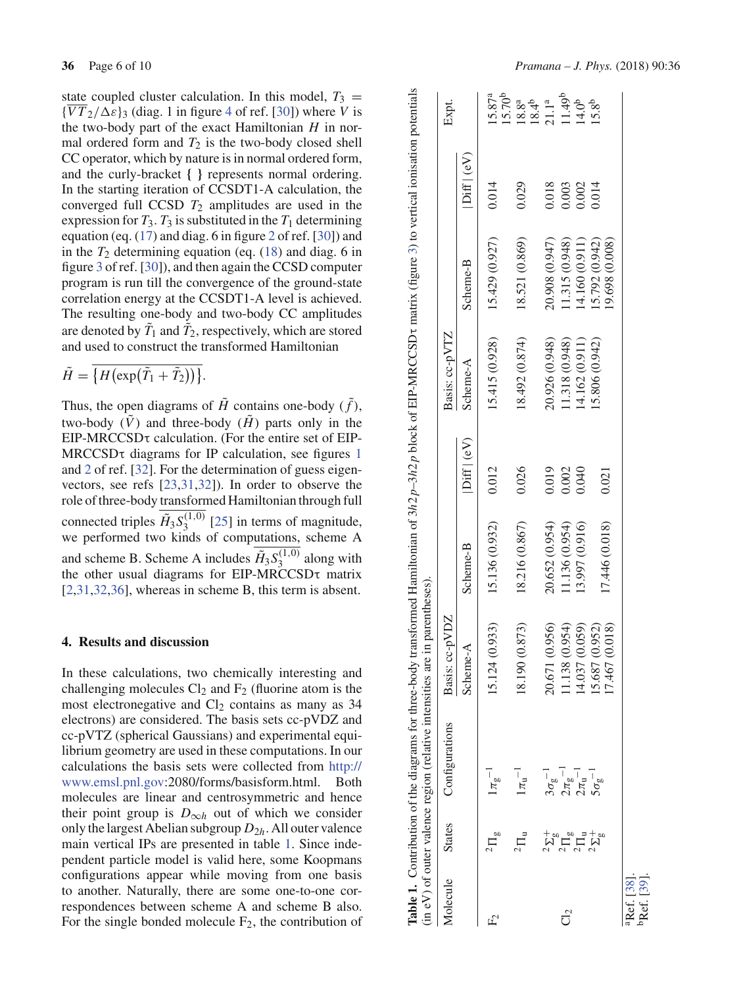state coupled cluster calculation. In this model,  $T_3$  =  $\{VT_2/\Delta\varepsilon\}$ 3 (diag. 1 in figure 4 of ref. [30]) where *V* is the two-body part of the exact Hamiltonian *H* in normal ordered form and  $T_2$  is the two-body closed shell CC operator, which by nature is in normal ordered form, and the curly-bracket **{ }** represents normal ordering. In the starting iteration of CCSDT1-A calculation, the converged full CCSD  $T_2$  amplitudes are used in the expression for  $T_3$ .  $T_3$  is substituted in the  $T_1$  determining equation (eq. (17) and diag. 6 in figure 2 of ref. [30]) and in the  $T_2$  determining equation (eq.  $(18)$ ) and diag. 6 in figure 3 of ref. [30]), and then again the CCSD computer program is run till the convergence of the ground-state correlation energy at the CCSDT1-A level is achieved. The resulting one-body and two-body CC amplitudes are denoted by  $T_1$  and  $T_2$ , respectively, which are stored and used to construct the transformed Hamiltonian

$$
\tilde{H} = \overline{H\left(\exp(\tilde{T}_1 + \tilde{T}_2)\right)\} }.
$$

Thus, the open diagrams of  $\tilde{H}$  contains one-body  $(\tilde{f})$ , two-body  $(\tilde{V})$  and three-body  $(\tilde{H})$  parts only in the EIP-MRCCSDτ calculation. (For the entire set of EIP-MRCCSD $\tau$  diagrams for IP calculation, see figures 1 and 2 of ref. [32]. For the determination of guess eigenvectors, see refs [23,31,32]). In order to observe the role of three-body transformed Hamiltonian through full connected triples  $\tilde{H}_3 S_3^{(1,0)}$  [25] in terms of magnitude, we performed two kinds of computations, scheme A and scheme B. Scheme A includes  $\tilde{H}_3 S_3^{(1,0)}$  along with the other usual diagrams for EIP-MRCCSDτ matrix [2,31,32,36], whereas in scheme B, this term is absent.

### **4. Results and discussion**

In these calculations, two chemically interesting and challenging molecules  $Cl_2$  and  $F_2$  (fluorine atom is the most electronegative and  $Cl<sub>2</sub>$  contains as many as 34 electrons) are considered. The basis sets cc-pVDZ and cc-pVTZ (spherical Gaussians) and experimental equilibrium geometry are used in these computations. In our calculations the basis sets were collected from http:// www.emsl.pnl.gov:2080/forms/basisform.html. Both molecules are linear and centrosymmetric and hence their point group is  $D_{\infty h}$  out of which we consider only the largest Abelian subgroup *D*2*h*. All outer valence main vertical IPs are presented in table 1. Since independent particle model is valid here, some Koopmans configurations appear while moving from one basis to another. Naturally, there are some one-to-one correspondences between scheme A and scheme B also. For the single bonded molecule  $F_2$ , the contribution of

| Ì                                                                                                                                                                                                                                                                                                                    |                                                                                                |
|----------------------------------------------------------------------------------------------------------------------------------------------------------------------------------------------------------------------------------------------------------------------------------------------------------------------|------------------------------------------------------------------------------------------------|
| いてて しょう じんしゃ<br>֧֧ׅ֧֧֧֧֧ׅ֧֧֧֧ׅ֧֧֧֧֧֧֧֧ׅ֧֧֛֛֛֛֛֛֛֛֧֛֛֛֧֚֚֚֚֚֚֚֚֚֚֚֚֚֚֚֚֚֚֚֚֚֚֚֚֚֚֚֚֚֚֝֝֝֓֝֓֝֓֝֓֝֬֓֝֬֝֓֝֬֜֓֝֬֝֬֝֬֝֬֝֬֝֬֝֬֜֝֬֝֝<br>֧֛֛֛֛֛֛֛֛֛֛֛֛֛֛֜֜֜֜֜֜֜֜֜<br>ادەلىك 47.0 م<br>ט<br>בום :<br>י<br>בתו<br>ı<br>$\overline{\phantom{a}}$<br>ļ<br>Ş<br>í<br>;<br>;<br>;<br>Č<br>١<br>くくりょ<br>:<br>$\frac{1}{2}$<br>;<br>{ | e<br>C<br>i<br>$100 - 100$<br>$\sim$<br>.<br>.<br>.<br>.<br>١<br>.<br>)<br>ייני<br>.<br>.<br>. |
| こしゅう キャランド<br>Ī                                                                                                                                                                                                                                                                                                      |                                                                                                |

| Molecule                                     | <b>States</b>                  | Configurations                            | Basis: cc-pVDZ                  |                |          | Basis: cc-pVTZ |                                 |                | Expt.                                               |
|----------------------------------------------|--------------------------------|-------------------------------------------|---------------------------------|----------------|----------|----------------|---------------------------------|----------------|-----------------------------------------------------|
|                                              |                                |                                           | Scheme-A                        | Scheme-B       | Diff(cV) | Scheme-A       | Scheme-B                        | Diff (eV)      |                                                     |
| $\mathrm{F}_2$                               |                                | $1 \pi_{\rm g}^{-1}$                      | 33)<br>15.124 (0.9)             | 15.136 (0.932) | 0.012    | 15.415 (0.928) | 15.429 (0.927)                  | 0.014          | $15.87^{a}$                                         |
|                                              |                                | $1\pi_u^{-1}$                             | 18.190 (0.873)                  | 18.216 (0.867) | 0.026    | 18.492 (0.874) | 18.521 (0.869)                  | 0.029          | $\frac{15.70^b}{18.8^a}$<br>$\frac{18.4^b}{21.1^a}$ |
|                                              |                                |                                           | 20.671 (0.956)                  | 20.652 (0.954) | 0.019    | 20.926 (0.948) | 20.908 (0.947)                  | 0.018          |                                                     |
| d <sub>2</sub>                               |                                | $\frac{3\sigma_{g}^{-1}}{2\pi_{u}^{2}-1}$ | (1.138(0.954)                   | (1.136(0.954)) | 0.002    | (1.318 (0.948) | 1.315 (0.948)                   | 0.003          | $11.49^{b}$                                         |
|                                              | $\frac{2}{1}$<br>$\frac{1}{1}$ |                                           | 4.037 (0.059)                   | (3.997(0.916)) | 0.040    | 4.162 (0.911)  | 14.160 (0.911)                  | 0.002<br>0.014 | $14.0^{b}$                                          |
|                                              | $2\Sigma_g^+$                  | $5\sigma_g^{-1}$                          | .7.467(0.018)<br>15.687 (0.952) | 17.446 (0.018) | 0.021    | 5.806 (0.942)  | 5.792 (0.942)<br>(9.698)(0.008) |                | 5.8 <sup>b</sup>                                    |
| ${}^{a}$ Ref. [38]<br><sup>o</sup> Ref. [39] |                                |                                           |                                 |                |          |                |                                 |                |                                                     |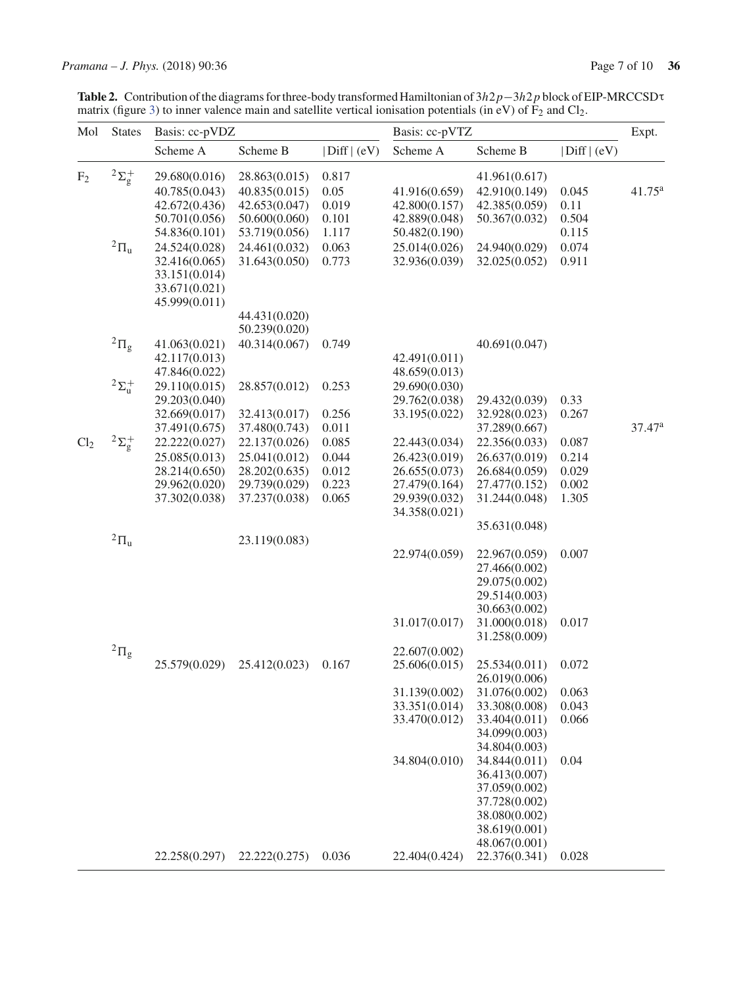**Table 2.** Contribution of the diagrams for three-body transformed Hamiltonian of 3*h*2*p*−3*h*2*p* block of EIP-MRCCSDτ matrix (figure 3) to inner valence main and satellite vertical ionisation potentials (in eV) of  $F_2$  and Cl<sub>2</sub>.

| Mol             | <b>States</b>       | Basis: cc-pVDZ |               |           | Basis: cc-pVTZ |               |           | Expt.     |
|-----------------|---------------------|----------------|---------------|-----------|----------------|---------------|-----------|-----------|
|                 |                     | Scheme A       | Scheme B      | Diff (eV) | Scheme A       | Scheme B      | Diff (eV) |           |
| F <sub>2</sub>  | $^2\Sigma_g^+$      | 29.680(0.016)  | 28.863(0.015) | 0.817     |                | 41.961(0.617) |           |           |
|                 |                     | 40.785(0.043)  | 40.835(0.015) | 0.05      | 41.916(0.659)  | 42.910(0.149) | 0.045     | $41.75^a$ |
|                 |                     | 42.672(0.436)  | 42.653(0.047) | 0.019     | 42.800(0.157)  | 42.385(0.059) | 0.11      |           |
|                 |                     | 50.701(0.056)  | 50.600(0.060) | 0.101     | 42.889(0.048)  | 50.367(0.032) | 0.504     |           |
|                 |                     | 54.836(0.101)  | 53.719(0.056) | 1.117     | 50.482(0.190)  |               | 0.115     |           |
|                 | $^{2}\Pi_{u}$       | 24.524(0.028)  | 24.461(0.032) | 0.063     | 25.014(0.026)  | 24.940(0.029) | 0.074     |           |
|                 |                     | 32.416(0.065)  | 31.643(0.050) | 0.773     | 32.936(0.039)  | 32.025(0.052) | 0.911     |           |
|                 |                     | 33.151(0.014)  |               |           |                |               |           |           |
|                 |                     | 33.671(0.021)  |               |           |                |               |           |           |
|                 |                     | 45.999(0.011)  |               |           |                |               |           |           |
|                 |                     |                | 44.431(0.020) |           |                |               |           |           |
|                 |                     |                | 50.239(0.020) |           |                |               |           |           |
|                 | $^{2}\Pi_{g}$       | 41.063(0.021)  | 40.314(0.067) | 0.749     |                | 40.691(0.047) |           |           |
|                 |                     | 42.117(0.013)  |               |           | 42.491(0.011)  |               |           |           |
|                 |                     | 47.846(0.022)  |               |           | 48.659(0.013)  |               |           |           |
|                 | $2\Sigma_{\rm u}^+$ | 29.110(0.015)  | 28.857(0.012) | 0.253     | 29.690(0.030)  |               |           |           |
|                 |                     | 29.203(0.040)  |               |           | 29.762(0.038)  | 29.432(0.039) | 0.33      |           |
|                 |                     | 32.669(0.017)  | 32.413(0.017) | 0.256     | 33.195(0.022)  | 32.928(0.023) | 0.267     |           |
|                 |                     | 37.491(0.675)  | 37.480(0.743) | 0.011     |                | 37.289(0.667) |           | 37.47a    |
| Cl <sub>2</sub> | $^2\Sigma_g^+$      | 22.222(0.027)  | 22.137(0.026) | 0.085     | 22.443(0.034)  | 22.356(0.033) | 0.087     |           |
|                 |                     | 25.085(0.013)  | 25.041(0.012) | 0.044     | 26.423(0.019)  | 26.637(0.019) | 0.214     |           |
|                 |                     | 28.214(0.650)  | 28.202(0.635) | 0.012     | 26.655(0.073)  | 26.684(0.059) | 0.029     |           |
|                 |                     | 29.962(0.020)  | 29.739(0.029) | 0.223     | 27.479(0.164)  | 27.477(0.152) | 0.002     |           |
|                 |                     | 37.302(0.038)  | 37.237(0.038) | 0.065     | 29.939(0.032)  | 31.244(0.048) | 1.305     |           |
|                 |                     |                |               |           | 34.358(0.021)  |               |           |           |
|                 | $^{2}\Pi_{u}$       |                | 23.119(0.083) |           |                | 35.631(0.048) |           |           |
|                 |                     |                |               |           | 22.974(0.059)  | 22.967(0.059) | 0.007     |           |
|                 |                     |                |               |           |                | 27.466(0.002) |           |           |
|                 |                     |                |               |           |                | 29.075(0.002) |           |           |
|                 |                     |                |               |           |                | 29.514(0.003) |           |           |
|                 |                     |                |               |           |                | 30.663(0.002) |           |           |
|                 |                     |                |               |           | 31.017(0.017)  | 31.000(0.018) | 0.017     |           |
|                 |                     |                |               |           |                | 31.258(0.009) |           |           |
|                 | $^2\Pi_g$           |                |               |           | 22.607(0.002)  |               |           |           |
|                 |                     | 25.579(0.029)  | 25.412(0.023) | 0.167     | 25.606(0.015)  | 25.534(0.011) | 0.072     |           |
|                 |                     |                |               |           |                | 26.019(0.006) |           |           |
|                 |                     |                |               |           | 31.139(0.002)  | 31.076(0.002) | 0.063     |           |
|                 |                     |                |               |           | 33.351(0.014)  | 33.308(0.008) | 0.043     |           |
|                 |                     |                |               |           | 33.470(0.012)  | 33.404(0.011) | 0.066     |           |
|                 |                     |                |               |           |                | 34.099(0.003) |           |           |
|                 |                     |                |               |           |                | 34.804(0.003) |           |           |
|                 |                     |                |               |           | 34.804(0.010)  | 34.844(0.011) | 0.04      |           |
|                 |                     |                |               |           |                | 36.413(0.007) |           |           |
|                 |                     |                |               |           |                | 37.059(0.002) |           |           |
|                 |                     |                |               |           |                | 37.728(0.002) |           |           |
|                 |                     |                |               |           |                | 38.080(0.002) |           |           |
|                 |                     |                |               |           |                | 38.619(0.001) |           |           |
|                 |                     |                |               |           |                | 48.067(0.001) |           |           |
|                 |                     | 22.258(0.297)  | 22.222(0.275) | 0.036     | 22.404(0.424)  | 22.376(0.341) | 0.028     |           |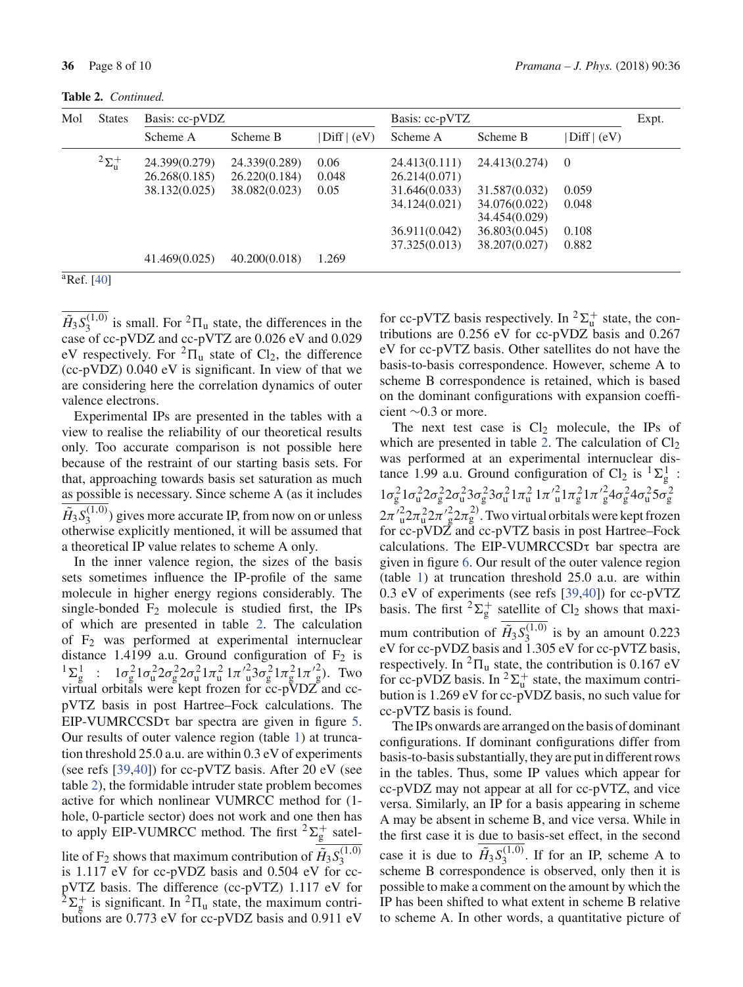| Mol | <b>States</b>       | Basis: cc-pVDZ                 |                                |               | Basis: cc-pVTZ                                  |                                                                  |                         | Expt. |
|-----|---------------------|--------------------------------|--------------------------------|---------------|-------------------------------------------------|------------------------------------------------------------------|-------------------------|-------|
|     |                     | Scheme A                       | Scheme B                       | Diff   (eV)   | Scheme A                                        | Scheme B                                                         | Diff (eV)               |       |
|     | $2\Sigma_{\rm u}^+$ | 24.399(0.279)<br>26.268(0.185) | 24.339(0.289)<br>26.220(0.184) | 0.06<br>0.048 | 24.413(0.111)<br>26.214(0.071)                  | 24.413(0.274)                                                    | $\theta$                |       |
|     |                     | 38.132(0.025)                  | 38.082(0.023)                  | 0.05          | 31.646(0.033)<br>34.124(0.021)<br>36.911(0.042) | 31.587(0.032)<br>34.076(0.022)<br>34.454(0.029)<br>36.803(0.045) | 0.059<br>0.048<br>0.108 |       |
|     |                     | 41.469(0.025)                  | 40.200(0.018)                  | 1.269         | 37.325(0.013)                                   | 38.207(0.027)                                                    | 0.882                   |       |

 $^{\circ}$ Ref. [40]

 $\tilde{H}_3 S_3^{(1,0)}$  is small. For <sup>2</sup> $\Pi_u$  state, the differences in the case of cc-pVDZ and cc-pVTZ are 0.026 eV and 0.029 eV respectively. For  ${}^{2}$  $\Pi$ <sub>u</sub> state of Cl<sub>2</sub>, the difference (cc-pVDZ) 0.040 eV is significant. In view of that we are considering here the correlation dynamics of outer valence electrons.

Experimental IPs are presented in the tables with a view to realise the reliability of our theoretical results only. Too accurate comparison is not possible here because of the restraint of our starting basis sets. For that, approaching towards basis set saturation as much as possible is necessary. Since scheme A (as it includes  $\tilde{H}_3 S_3^{(1,0)}$  gives more accurate IP, from now on or unless otherwise explicitly mentioned, it will be assumed that a theoretical IP value relates to scheme A only.

In the inner valence region, the sizes of the basis sets sometimes influence the IP-profile of the same molecule in higher energy regions considerably. The single-bonded  $F_2$  molecule is studied first, the IPs of which are presented in table 2. The calculation of F2 was performed at experimental internuclear distance 1.4199 a.u. Ground configuration of  $F_2$  is  ${}^{1}\Sigma_{g}^{1}$  :  $1\sigma_{g}^{2}1\sigma_{u}^{2}2\sigma_{g}^{2}2\sigma_{u}^{2}1\pi_{u}^{2}1\pi'_{u}^{2}3\sigma_{g}^{2}1\pi_{g}^{2}1\pi'_{g}^{2}$ ). Two virtual orbitals were kept frozen for cc-pVDZ and ccpVTZ basis in post Hartree–Fock calculations. The EIP-VUMRCCSD $\tau$  bar spectra are given in figure 5. Our results of outer valence region (table 1) at truncation threshold 25.0 a.u. are within 0.3 eV of experiments (see refs [39,40]) for cc-pVTZ basis. After 20 eV (see table 2), the formidable intruder state problem becomes active for which nonlinear VUMRCC method for (1 hole, 0-particle sector) does not work and one then has to apply EIP-VUMRCC method. The first  ${}^{2}\Sigma_{g}^{+}$  satellite of F<sub>2</sub> shows that maximum contribution of  $\tilde{H}_3 S_3^{(1,0)}$ is 1.117 eV for cc-pVDZ basis and 0.504 eV for cc-

pVTZ basis. The difference (cc-pVTZ) 1.117 eV for  ${}^{2}\Sigma_{g}^{+}$  is significant. In  ${}^{2}\Pi_{u}$  state, the maximum contributions are 0.773 eV for cc-pVDZ basis and 0.911 eV

for cc-pVTZ basis respectively. In  ${}^{2}\Sigma_{u}^{+}$  state, the contributions are 0.256 eV for cc-pVDZ basis and 0.267 eV for cc-pVTZ basis. Other satellites do not have the basis-to-basis correspondence. However, scheme A to scheme B correspondence is retained, which is based on the dominant configurations with expansion coefficient ∼0.3 or more.

The next test case is  $Cl<sub>2</sub>$  molecule, the IPs of which are presented in table 2. The calculation of  $Cl<sub>2</sub>$ was performed at an experimental internuclear distance 1.99 a.u. Ground configuration of Cl<sub>2</sub> is  ${}^{1}\Sigma_{g}^{1}$  :  $1\sigma_g^2 1\sigma_u^2 2\sigma_g^2 2\sigma_u^2 3\sigma_g^2 3\sigma_u^2 1\pi_u^2 1\pi_u^{\prime 2} 1\pi_g^{\prime 2} 1\pi_g^{\prime 2} 4\sigma_g^2 4\sigma_u^2 5\sigma_g^2$  $2\pi \frac{d^2}{d^2} 2\pi \frac{d^2}{d^2} 2\pi g^2$ . Two virtual orbitals were kept frozen for cc-pVDZ and cc-pVTZ basis in post Hartree–Fock calculations. The EIP-VUMRCCSDτ bar spectra are given in figure 6. Our result of the outer valence region (table 1) at truncation threshold 25.0 a.u. are within 0.3 eV of experiments (see refs [39,40]) for cc-pVTZ basis. The first  ${}^{2}\Sigma_{g}^{+}$  satellite of Cl<sub>2</sub> shows that maximum contribution of  $\tilde{H}_3 S_3^{(1,0)}$  is by an amount 0.223 eV for cc-pVDZ basis and 1.305 eV for cc-pVTZ basis, respectively. In  ${}^{2}$  $\Pi$ <sub>u</sub> state, the contribution is 0.167 eV for cc-pVDZ basis. In  ${}^{2}\Sigma_{u}^{+}$  state, the maximum contribution is 1.269 eV for cc-pVDZ basis, no such value for cc-pVTZ basis is found.

The IPs onwards are arranged on the basis of dominant configurations. If dominant configurations differ from basis-to-basis substantially, they are put in different rows in the tables. Thus, some IP values which appear for cc-pVDZ may not appear at all for cc-pVTZ, and vice versa. Similarly, an IP for a basis appearing in scheme A may be absent in scheme B, and vice versa. While in the first case it is due to basis-set effect, in the second case it is due to  $\tilde{H}_3 S_3^{(1,0)}$ . If for an IP, scheme A to scheme B correspondence is observed, only then it is possible to make a comment on the amount by which the IP has been shifted to what extent in scheme B relative to scheme A. In other words, a quantitative picture of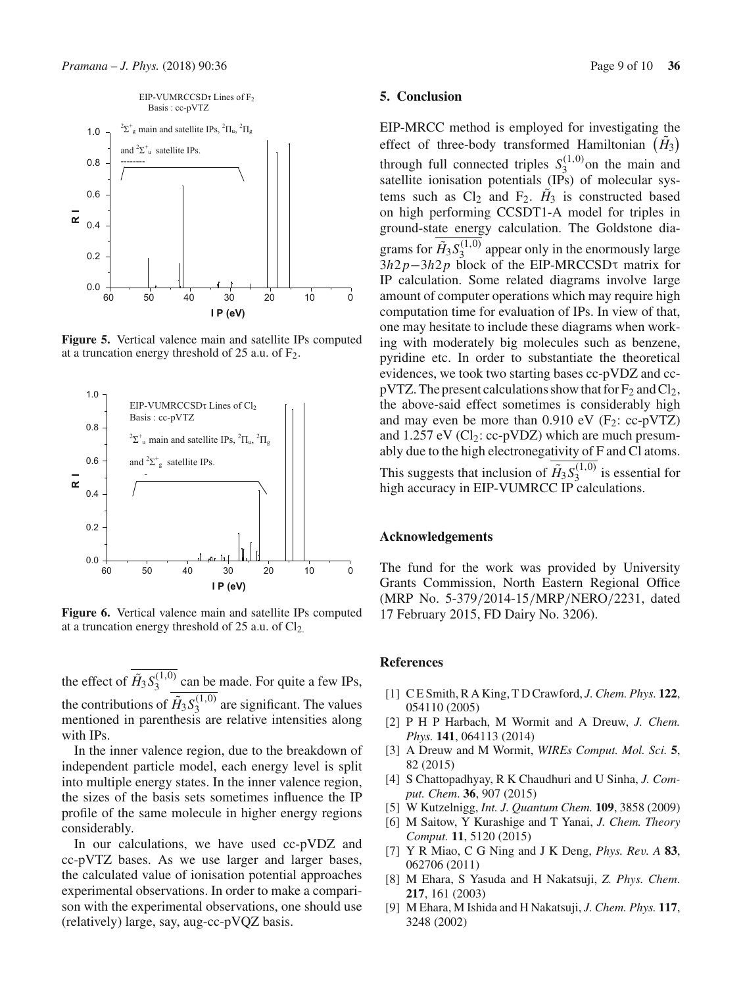

**Figure 5.** Vertical valence main and satellite IPs computed at a truncation energy threshold of  $25$  a.u. of  $F_2$ .



**Figure 6.** Vertical valence main and satellite IPs computed at a truncation energy threshold of  $25$  a.u. of  $Cl<sub>2</sub>$ .

the effect of  $\tilde{H}_3 S_3^{(1,0)}$  can be made. For quite a few IPs, the contributions of  $\tilde{H}_3 S_3^{(1,0)}$  are significant. The values mentioned in parenthesis are relative intensities along with IPs.

In the inner valence region, due to the breakdown of independent particle model, each energy level is split into multiple energy states. In the inner valence region, the sizes of the basis sets sometimes influence the IP profile of the same molecule in higher energy regions considerably.

In our calculations, we have used cc-pVDZ and cc-pVTZ bases. As we use larger and larger bases, the calculated value of ionisation potential approaches experimental observations. In order to make a comparison with the experimental observations, one should use (relatively) large, say, aug-cc-pVQZ basis.

### **5. Conclusion**

EIP-MRCC method is employed for investigating the effect of three-body transformed Hamiltonian  $(H_3)$ through full connected triples  $S_3^{(1,0)}$  on the main and satellite ionisation potentials (IPs) of molecular systems such as  $Cl_2$  and  $F_2$ .  $H_3$  is constructed based on high performing CCSDT1-A model for triples in ground-state energy calculation. The Goldstone diagrams for  $\tilde{H}_3 S_3^{(1,0)}$  appear only in the enormously large 3*h*2*p*−3*h*2*p* block of the EIP-MRCCSDτ matrix for IP calculation. Some related diagrams involve large amount of computer operations which may require high computation time for evaluation of IPs. In view of that, one may hesitate to include these diagrams when working with moderately big molecules such as benzene, pyridine etc. In order to substantiate the theoretical evidences, we took two starting bases cc-pVDZ and ccpVTZ. The present calculations show that for  $F_2$  and  $Cl_2$ , the above-said effect sometimes is considerably high and may even be more than  $0.910$  eV (F<sub>2</sub>: cc-pVTZ) and  $1.257$  eV (Cl<sub>2</sub>: cc-pVDZ) which are much presumably due to the high electronegativity of F and Cl atoms. This suggests that inclusion of  $\tilde{H}_3 S_3^{(1,0)}$  is essential for high accuracy in EIP-VUMRCC IP calculations.

# **Acknowledgements**

The fund for the work was provided by University Grants Commission, North Eastern Regional Office (MRP No. 5-379/2014-15/MRP/NERO/2231, dated 17 February 2015, FD Dairy No. 3206).

## **References**

- [1] C E Smith, R A King, T D Crawford, *J. Chem. Phys.* **122**, 054110 (2005)
- [2] P H P Harbach, M Wormit and A Dreuw, *J. Chem. Phys.* **141**, 064113 (2014)
- [3] A Dreuw and M Wormit, *WIREs Comput. Mol. Sci.* **5**, 82 (2015)
- [4] S Chattopadhyay, R K Chaudhuri and U Sinha, *J. Comput. Chem*. **36**, 907 (2015)
- [5] W Kutzelnigg, *Int. J. Quantum Chem.* **109**, 3858 (2009)
- [6] M Saitow, Y Kurashige and T Yanai, *J. Chem. Theory Comput.* **11**, 5120 (2015)
- [7] Y R Miao, C G Ning and J K Deng, *Phys. Rev. A* **83**, 062706 (2011)
- [8] M Ehara, S Yasuda and H Nakatsuji, *Z. Phys. Chem*. **217**, 161 (2003)
- [9] M Ehara, M Ishida and H Nakatsuji, *J. Chem. Phys.* **117**, 3248 (2002)